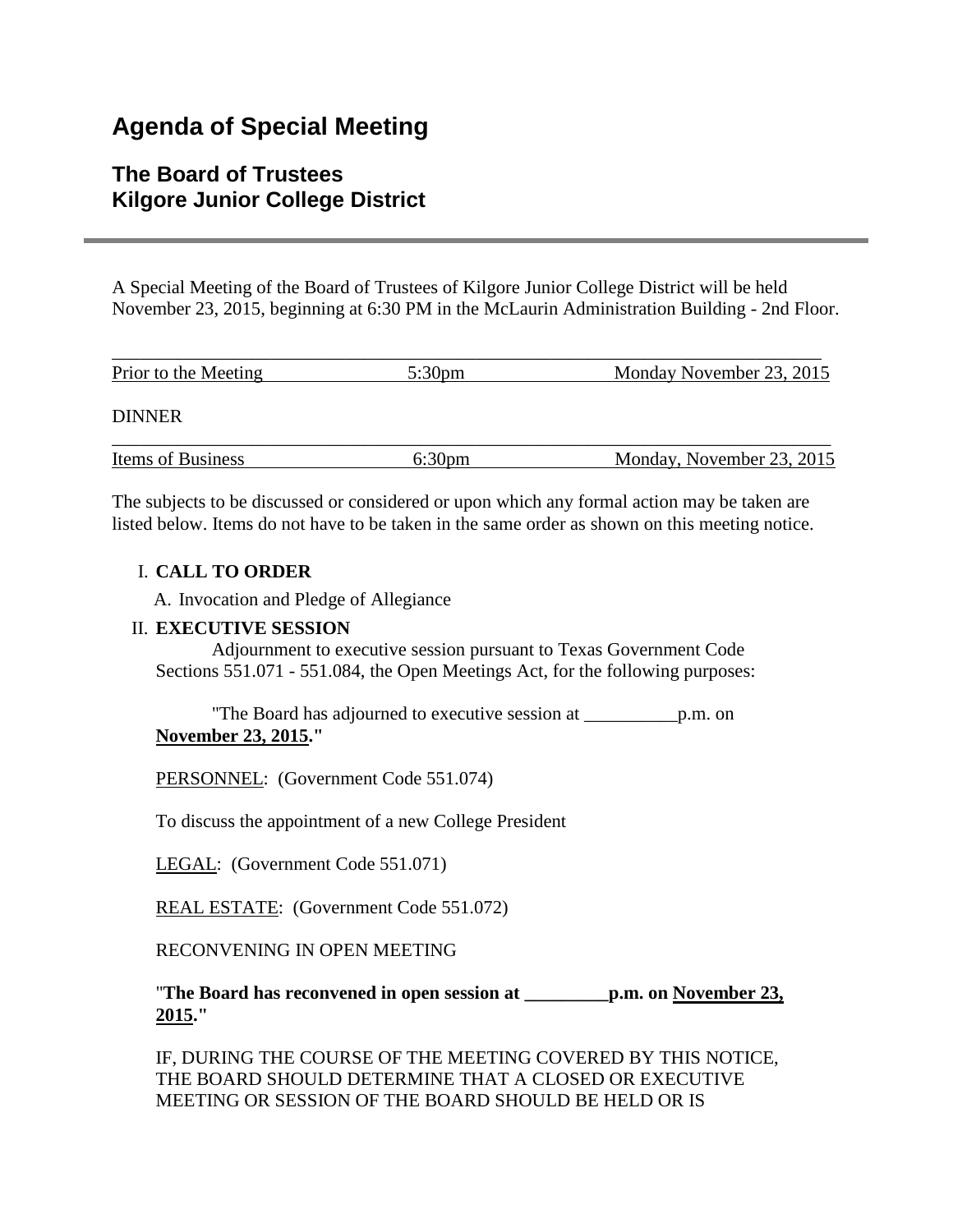# **Agenda of Special Meeting**

## **The Board of Trustees Kilgore Junior College District**

A Special Meeting of the Board of Trustees of Kilgore Junior College District will be held November 23, 2015, beginning at 6:30 PM in the McLaurin Administration Building - 2nd Floor.

| Prior to the Meeting | 5:30 <sub>pm</sub> | Monday November 23, 2015  |
|----------------------|--------------------|---------------------------|
| <b>DINNER</b>        |                    |                           |
| Items of Business    | 6:30 <sub>pm</sub> | Monday, November 23, 2015 |

The subjects to be discussed or considered or upon which any formal action may be taken are listed below. Items do not have to be taken in the same order as shown on this meeting notice.

#### I. **CALL TO ORDER**

A. Invocation and Pledge of Allegiance

#### II. **EXECUTIVE SESSION**

 Adjournment to executive session pursuant to Texas Government Code Sections 551.071 - 551.084, the Open Meetings Act, for the following purposes:

 "The Board has adjourned to executive session at \_\_\_\_\_\_\_\_\_\_p.m. on **November 23, 2015."**

PERSONNEL: (Government Code 551.074)

To discuss the appointment of a new College President

LEGAL: (Government Code 551.071)

REAL ESTATE: (Government Code 551.072)

RECONVENING IN OPEN MEETING

"**The Board has reconvened in open session at \_\_\_\_\_\_\_\_\_p.m. on November 23, 2015."**

IF, DURING THE COURSE OF THE MEETING COVERED BY THIS NOTICE, THE BOARD SHOULD DETERMINE THAT A CLOSED OR EXECUTIVE MEETING OR SESSION OF THE BOARD SHOULD BE HELD OR IS